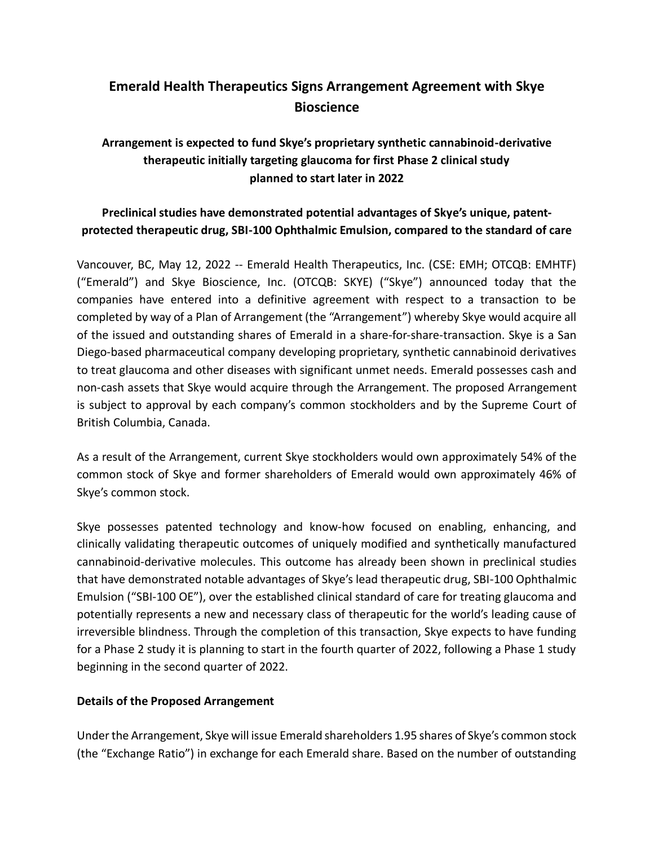# **Emerald Health Therapeutics Signs Arrangement Agreement with Skye Bioscience**

# **Arrangement is expected to fund Skye's proprietary synthetic cannabinoid-derivative therapeutic initially targeting glaucoma for first Phase 2 clinical study planned to start later in 2022**

# **Preclinical studies have demonstrated potential advantages of Skye's unique, patentprotected therapeutic drug, SBI-100 Ophthalmic Emulsion, compared to the standard of care**

Vancouver, BC, May 12, 2022 -- Emerald Health Therapeutics, Inc. (CSE: EMH; OTCQB: EMHTF) ("Emerald") and Skye Bioscience, Inc. (OTCQB: SKYE) ("Skye") announced today that the companies have entered into a definitive agreement with respect to a transaction to be completed by way of a Plan of Arrangement (the "Arrangement") whereby Skye would acquire all of the issued and outstanding shares of Emerald in a share-for-share-transaction. Skye is a San Diego-based pharmaceutical company developing proprietary, synthetic cannabinoid derivatives to treat glaucoma and other diseases with significant unmet needs. Emerald possesses cash and non-cash assets that Skye would acquire through the Arrangement. The proposed Arrangement is subject to approval by each company's common stockholders and by the Supreme Court of British Columbia, Canada.

As a result of the Arrangement, current Skye stockholders would own approximately 54% of the common stock of Skye and former shareholders of Emerald would own approximately 46% of Skye's common stock.

Skye possesses patented technology and know-how focused on enabling, enhancing, and clinically validating therapeutic outcomes of uniquely modified and synthetically manufactured cannabinoid-derivative molecules. This outcome has already been shown in preclinical studies that have demonstrated notable advantages of Skye's lead therapeutic drug, SBI-100 Ophthalmic Emulsion ("SBI-100 OE"), over the established clinical standard of care for treating glaucoma and potentially represents a new and necessary class of therapeutic for the world's leading cause of irreversible blindness. Through the completion of this transaction, Skye expects to have funding for a Phase 2 study it is planning to start in the fourth quarter of 2022, following a Phase 1 study beginning in the second quarter of 2022.

# **Details of the Proposed Arrangement**

Under the Arrangement, Skye will issue Emerald shareholders 1.95 shares of Skye's common stock (the "Exchange Ratio") in exchange for each Emerald share. Based on the number of outstanding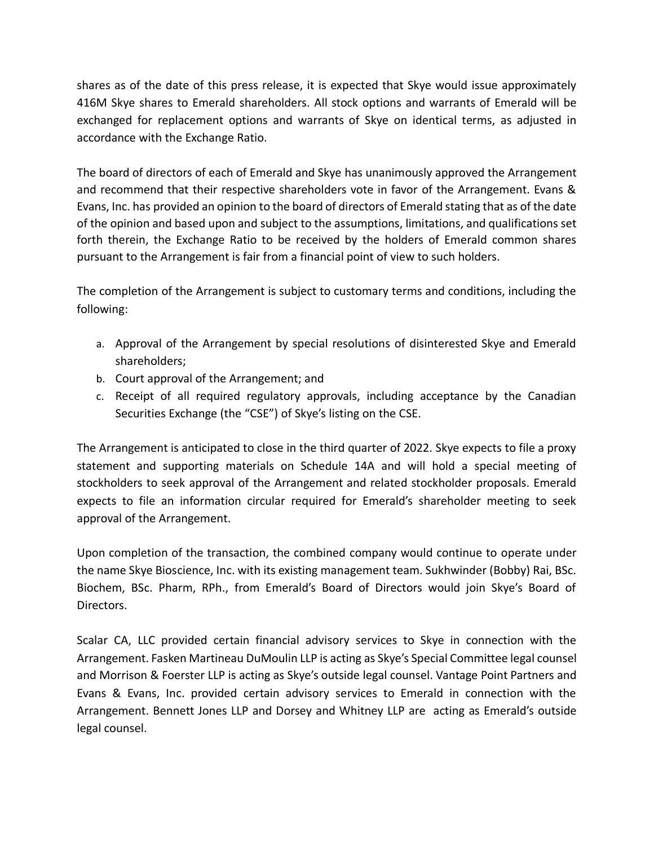shares as of the date of this press release, it is expected that Skye would issue approximately 416M Skye shares to Emerald shareholders. All stock options and warrants of Emerald will be exchanged for replacement options and warrants of Skye on identical terms, as adjusted in accordance with the Exchange Ratio.

The board of directors of each of Emerald and Skye has unanimously approved the Arrangement and recommend that their respective shareholders vote in favor of the Arrangement. Evans & Evans, Inc. has provided an opinion to the board of directors of Emerald stating that as of the date of the opinion and based upon and subject to the assumptions, limitations, and qualifications set forth therein, the Exchange Ratio to be received by the holders of Emerald common shares pursuant to the Arrangement is fair from a financial point of view to such holders.

The completion of the Arrangement is subject to customary terms and conditions, including the following:

- a. Approval of the Arrangement by special resolutions of disinterested Skye and Emerald shareholders;
- b. Court approval of the Arrangement; and
- c. Receipt of all required regulatory approvals, including acceptance by the Canadian Securities Exchange (the "CSE") of Skye's listing on the CSE.

The Arrangement is anticipated to close in the third quarter of 2022. Skye expects to file a proxy statement and supporting materials on Schedule 14A and will hold a special meeting of stockholders to seek approval of the Arrangement and related stockholder proposals. Emerald expects to file an information circular required for Emerald's shareholder meeting to seek approval of the Arrangement.

Upon completion of the transaction, the combined company would continue to operate under the name Skye Bioscience, Inc. with its existing management team. Sukhwinder (Bobby) Rai, BSc. Biochem, BSc. Pharm, RPh., from Emerald's Board of Directors would join Skye's Board of Directors.

Scalar CA, LLC provided certain financial advisory services to Skye in connection with the Arrangement. Fasken Martineau DuMoulin LLP is acting as Skye's Special Committee legal counsel and Morrison & Foerster LLP is acting as Skye's outside legal counsel. Vantage Point Partners and Evans & Evans, Inc. provided certain advisory services to Emerald in connection with the Arrangement. Bennett Jones LLP and Dorsey and Whitney LLP are acting as Emerald's outside legal counsel.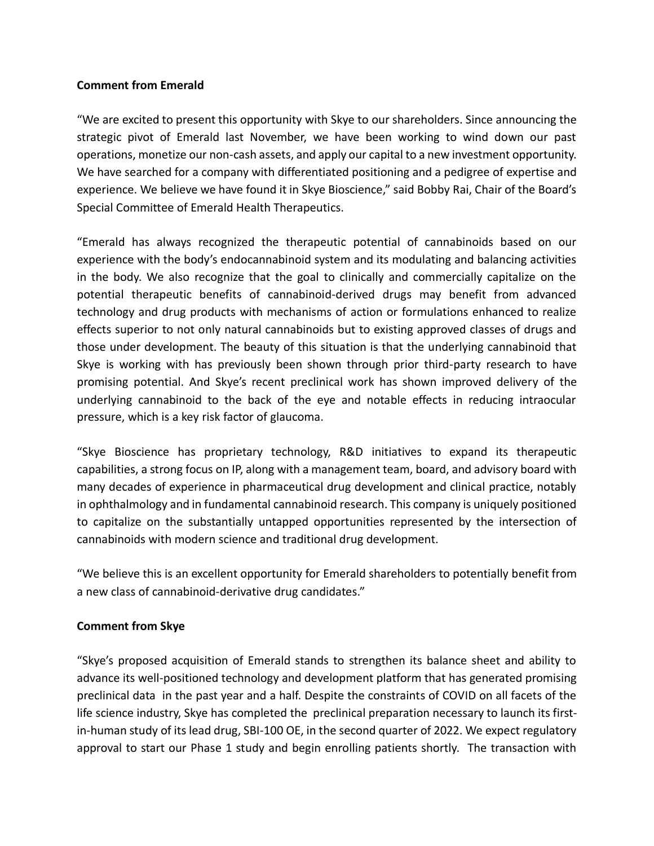### **Comment from Emerald**

"We are excited to present this opportunity with Skye to our shareholders. Since announcing the strategic pivot of Emerald last November, we have been working to wind down our past operations, monetize our non-cash assets, and apply our capital to a new investment opportunity. We have searched for a company with differentiated positioning and a pedigree of expertise and experience. We believe we have found it in Skye Bioscience," said Bobby Rai, Chair of the Board's Special Committee of Emerald Health Therapeutics.

"Emerald has always recognized the therapeutic potential of cannabinoids based on our experience with the body's endocannabinoid system and its modulating and balancing activities in the body. We also recognize that the goal to clinically and commercially capitalize on the potential therapeutic benefits of cannabinoid-derived drugs may benefit from advanced technology and drug products with mechanisms of action or formulations enhanced to realize effects superior to not only natural cannabinoids but to existing approved classes of drugs and those under development. The beauty of this situation is that the underlying cannabinoid that Skye is working with has previously been shown through prior third-party research to have promising potential. And Skye's recent preclinical work has shown improved delivery of the underlying cannabinoid to the back of the eye and notable effects in reducing intraocular pressure, which is a key risk factor of glaucoma.

"Skye Bioscience has proprietary technology, R&D initiatives to expand its therapeutic capabilities, a strong focus on IP, along with a management team, board, and advisory board with many decades of experience in pharmaceutical drug development and clinical practice, notably in ophthalmology and in fundamental cannabinoid research. This company is uniquely positioned to capitalize on the substantially untapped opportunities represented by the intersection of cannabinoids with modern science and traditional drug development.

"We believe this is an excellent opportunity for Emerald shareholders to potentially benefit from a new class of cannabinoid-derivative drug candidates."

# **Comment from Skye**

"Skye's proposed acquisition of Emerald stands to strengthen its balance sheet and ability to advance its well-positioned technology and development platform that has generated promising preclinical data in the past year and a half. Despite the constraints of COVID on all facets of the life science industry, Skye has completed the preclinical preparation necessary to launch its firstin-human study of its lead drug, SBI-100 OE, in the second quarter of 2022. We expect regulatory approval to start our Phase 1 study and begin enrolling patients shortly. The transaction with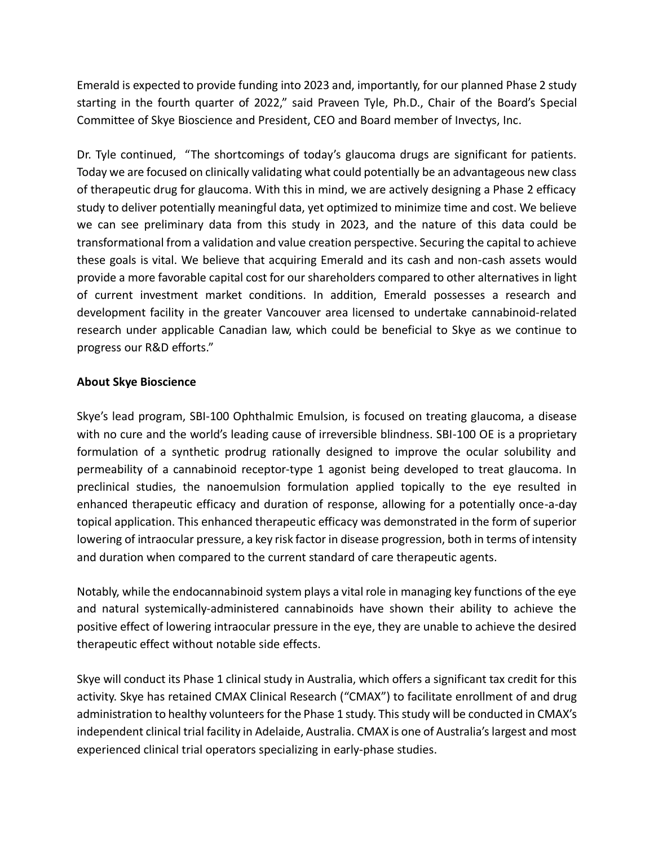Emerald is expected to provide funding into 2023 and, importantly, for our planned Phase 2 study starting in the fourth quarter of 2022," said Praveen Tyle, Ph.D., Chair of the Board's Special Committee of Skye Bioscience and President, CEO and Board member of Invectys, Inc.

Dr. Tyle continued, "The shortcomings of today's glaucoma drugs are significant for patients. Today we are focused on clinically validating what could potentially be an advantageous new class of therapeutic drug for glaucoma. With this in mind, we are actively designing a Phase 2 efficacy study to deliver potentially meaningful data, yet optimized to minimize time and cost. We believe we can see preliminary data from this study in 2023, and the nature of this data could be transformational from a validation and value creation perspective. Securing the capital to achieve these goals is vital. We believe that acquiring Emerald and its cash and non-cash assets would provide a more favorable capital cost for our shareholders compared to other alternatives in light of current investment market conditions. In addition, Emerald possesses a research and development facility in the greater Vancouver area licensed to undertake cannabinoid-related research under applicable Canadian law, which could be beneficial to Skye as we continue to progress our R&D efforts."

# **About Skye Bioscience**

Skye's lead program, SBI-100 Ophthalmic Emulsion, is focused on treating glaucoma, a disease with no cure and the world's leading cause of irreversible blindness. SBI-100 OE is a proprietary formulation of a synthetic prodrug rationally designed to improve the ocular solubility and permeability of a cannabinoid receptor-type 1 agonist being developed to treat glaucoma. In preclinical studies, the nanoemulsion formulation applied topically to the eye resulted in enhanced therapeutic efficacy and duration of response, allowing for a potentially once-a-day topical application. This enhanced therapeutic efficacy was demonstrated in the form of superior lowering of intraocular pressure, a key risk factor in disease progression, both in terms of intensity and duration when compared to the current standard of care therapeutic agents.

Notably, while the endocannabinoid system plays a vital role in managing key functions of the eye and natural systemically-administered cannabinoids have shown their ability to achieve the positive effect of lowering intraocular pressure in the eye, they are unable to achieve the desired therapeutic effect without notable side effects.

Skye will conduct its Phase 1 clinical study in Australia, which offers a significant tax credit for this activity. Skye has retained CMAX Clinical Research ("CMAX") to facilitate enrollment of and drug administration to healthy volunteers for the Phase 1 study. This study will be conducted in CMAX's independent clinical trial facility in Adelaide, Australia. CMAX is one of Australia's largest and most experienced clinical trial operators specializing in early-phase studies.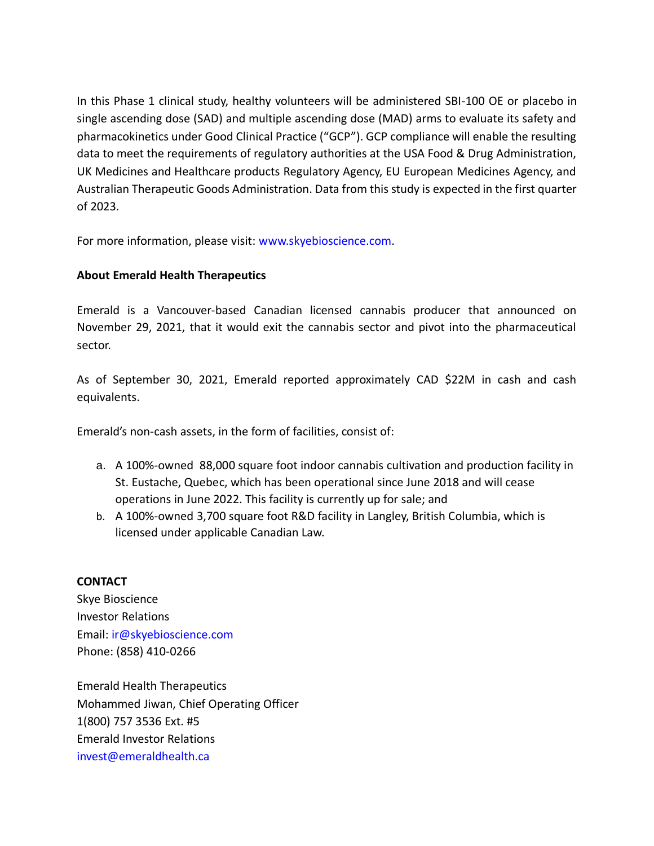In this Phase 1 clinical study, healthy volunteers will be administered SBI-100 OE or placebo in single ascending dose (SAD) and multiple ascending dose (MAD) arms to evaluate its safety and pharmacokinetics under Good Clinical Practice ("GCP"). GCP compliance will enable the resulting data to meet the requirements of regulatory authorities at the USA Food & Drug Administration, UK Medicines and Healthcare products Regulatory Agency, EU European Medicines Agency, and Australian Therapeutic Goods Administration. Data from this study is expected in the first quarter of 2023.

For more information, please visit: www.skyebioscience.com.

# **About Emerald Health Therapeutics**

Emerald is a Vancouver-based Canadian licensed cannabis producer that announced on November 29, 2021, that it would exit the cannabis sector and pivot into the pharmaceutical sector.

As of September 30, 2021, Emerald reported approximately CAD \$22M in cash and cash equivalents.

Emerald's non-cash assets, in the form of facilities, consist of:

- a. A 100%-owned 88,000 square foot indoor cannabis cultivation and production facility in St. Eustache, Quebec, which has been operational since June 2018 and will cease operations in June 2022. This facility is currently up for sale; and
- b. A 100%-owned 3,700 square foot R&D facility in Langley, British Columbia, which is licensed under applicable Canadian Law.

### **CONTACT**

Skye Bioscience Investor Relations Email: ir@skyebioscience.com Phone: (858) 410-0266

Emerald Health Therapeutics Mohammed Jiwan, Chief Operating Officer 1(800) 757 3536 Ext. #5 Emerald Investor Relations invest@emeraldhealth.ca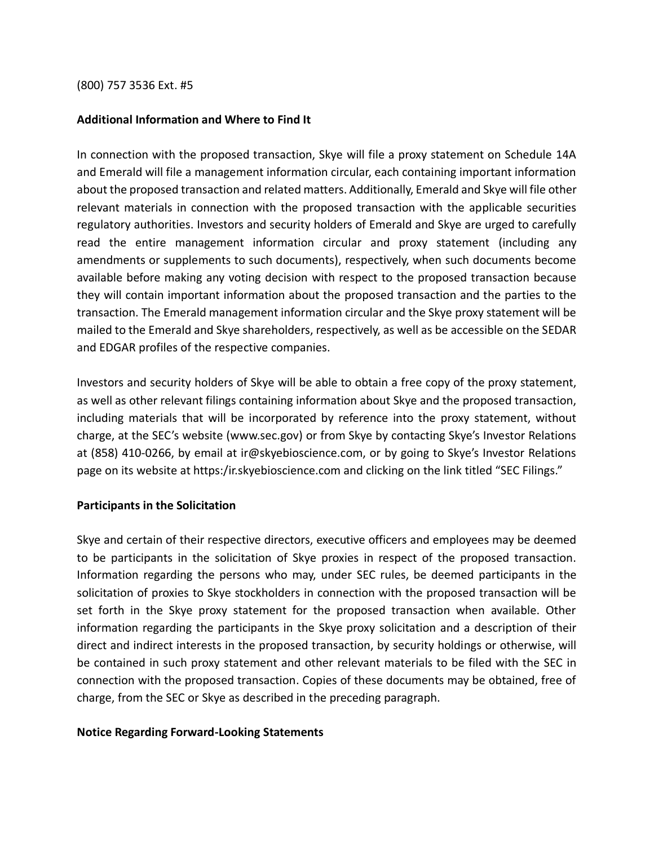#### (800) 757 3536 Ext. #5

### **Additional Information and Where to Find It**

In connection with the proposed transaction, Skye will file a proxy statement on Schedule 14A and Emerald will file a management information circular, each containing important information about the proposed transaction and related matters. Additionally, Emerald and Skye will file other relevant materials in connection with the proposed transaction with the applicable securities regulatory authorities. Investors and security holders of Emerald and Skye are urged to carefully read the entire management information circular and proxy statement (including any amendments or supplements to such documents), respectively, when such documents become available before making any voting decision with respect to the proposed transaction because they will contain important information about the proposed transaction and the parties to the transaction. The Emerald management information circular and the Skye proxy statement will be mailed to the Emerald and Skye shareholders, respectively, as well as be accessible on the SEDAR and EDGAR profiles of the respective companies.

Investors and security holders of Skye will be able to obtain a free copy of the proxy statement, as well as other relevant filings containing information about Skye and the proposed transaction, including materials that will be incorporated by reference into the proxy statement, without charge, at the SEC's website (www.sec.gov) or from Skye by contacting Skye's Investor Relations at (858) 410-0266, by email at ir@skyebioscience.com, or by going to Skye's Investor Relations page on its website at https:/ir.skyebioscience.com and clicking on the link titled "SEC Filings."

### **Participants in the Solicitation**

Skye and certain of their respective directors, executive officers and employees may be deemed to be participants in the solicitation of Skye proxies in respect of the proposed transaction. Information regarding the persons who may, under SEC rules, be deemed participants in the solicitation of proxies to Skye stockholders in connection with the proposed transaction will be set forth in the Skye proxy statement for the proposed transaction when available. Other information regarding the participants in the Skye proxy solicitation and a description of their direct and indirect interests in the proposed transaction, by security holdings or otherwise, will be contained in such proxy statement and other relevant materials to be filed with the SEC in connection with the proposed transaction. Copies of these documents may be obtained, free of charge, from the SEC or Skye as described in the preceding paragraph.

### **Notice Regarding Forward-Looking Statements**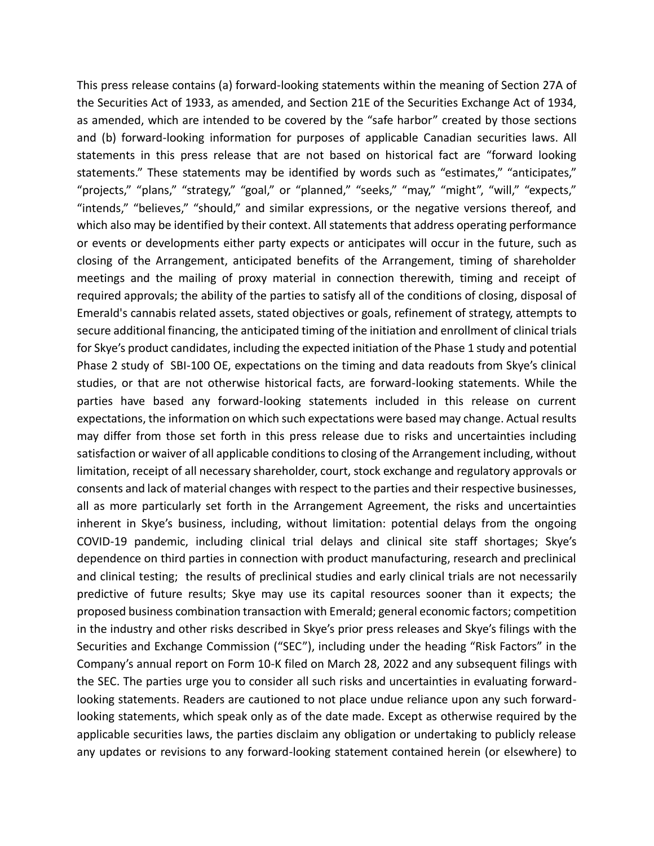This press release contains (a) forward-looking statements within the meaning of Section 27A of the Securities Act of 1933, as amended, and Section 21E of the Securities Exchange Act of 1934, as amended, which are intended to be covered by the "safe harbor" created by those sections and (b) forward-looking information for purposes of applicable Canadian securities laws. All statements in this press release that are not based on historical fact are "forward looking statements." These statements may be identified by words such as "estimates," "anticipates," "projects," "plans," "strategy," "goal," or "planned," "seeks," "may," "might", "will," "expects," "intends," "believes," "should," and similar expressions, or the negative versions thereof, and which also may be identified by their context. All statements that address operating performance or events or developments either party expects or anticipates will occur in the future, such as closing of the Arrangement, anticipated benefits of the Arrangement, timing of shareholder meetings and the mailing of proxy material in connection therewith, timing and receipt of required approvals; the ability of the parties to satisfy all of the conditions of closing, disposal of Emerald's cannabis related assets, stated objectives or goals, refinement of strategy, attempts to secure additional financing, the anticipated timing of the initiation and enrollment of clinical trials for Skye's product candidates, including the expected initiation of the Phase 1 study and potential Phase 2 study of SBI-100 OE, expectations on the timing and data readouts from Skye's clinical studies, or that are not otherwise historical facts, are forward-looking statements. While the parties have based any forward-looking statements included in this release on current expectations, the information on which such expectations were based may change. Actual results may differ from those set forth in this press release due to risks and uncertainties including satisfaction or waiver of all applicable conditions to closing of the Arrangement including, without limitation, receipt of all necessary shareholder, court, stock exchange and regulatory approvals or consents and lack of material changes with respect to the parties and their respective businesses, all as more particularly set forth in the Arrangement Agreement, the risks and uncertainties inherent in Skye's business, including, without limitation: potential delays from the ongoing COVID-19 pandemic, including clinical trial delays and clinical site staff shortages; Skye's dependence on third parties in connection with product manufacturing, research and preclinical and clinical testing; the results of preclinical studies and early clinical trials are not necessarily predictive of future results; Skye may use its capital resources sooner than it expects; the proposed business combination transaction with Emerald; general economic factors; competition in the industry and other risks described in Skye's prior press releases and Skye's filings with the Securities and Exchange Commission ("SEC"), including under the heading "Risk Factors" in the Company's annual report on Form 10-K filed on March 28, 2022 and any subsequent filings with the SEC. The parties urge you to consider all such risks and uncertainties in evaluating forwardlooking statements. Readers are cautioned to not place undue reliance upon any such forwardlooking statements, which speak only as of the date made. Except as otherwise required by the applicable securities laws, the parties disclaim any obligation or undertaking to publicly release any updates or revisions to any forward-looking statement contained herein (or elsewhere) to